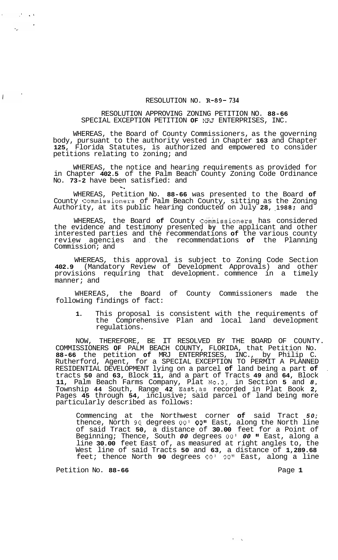## RESOLUTION NO. **R-89- 734**

## RESOLUTION APPROVING ZONING PETITION NO. **88-66**  SPECIAL EXCEPTION PETITION **OF** MRJ ENTERPRISES, INC.

WHEREAS, the Board of County Commissioners, as the governing body, pursuant to the authority vested in Chapter **163** and Chapter **125,** Florida Statutes, is authorized and empowered to consider petitions relating to zoning; and

WHEREAS, the notice and hearing requirements as provided for in Chapter **402.5** of the Palm Beach County Zoning Code Ordinance No. **73-2** have been satisfied: and **k"** 

WHEREAS, Petition No. **88-66** was presented to the Board **of**  County Commissioners of Palm Beach County, sitting as the Zoning Authority, at its public hearing conducted on July **28, #1988;** and

WHEREAS, the Board of County Commissioners has considered the evidence and testimony presented **by** the applicant and other interested parties and the recommendations **of** the various county review agencies and , the recommendations **of** the Planning Commission; and

WHEREAS, this approval is subject to Zoning Code Section **402.9** (Mandatory Review of Development Approvals) and other provisions requiring that development. commence in a timely manner; and

WHEREAS, the Board of County Commissioners made the following findings of fact:

**1.** This proposal is consistent with the requirements of the Comprehensive Plan and local land development regulations.

NOW, THEREFORE, BE IT RESOLVED BY THE BOARD OF COUNTY. COMMISSIONERS **OF** PALM BEACH COUNTY, FLORIDA, that Petition No. **88-66** the petition **of** MRJ ENTERPRISES, INC., by Philip C. Rutherford, Agent, for a SPECIAL EXCEPTION TO PERMIT A PLANNED RESIDENTIAL DEVELOPMENT lying on a parcel **of** land being a part **of** . tracts **50** and **63,** Block **11,** and a part of Tracts **49** and **64,** Block **11,** Palm Beach Farms Company, Plat N0.3, in Section **5** and *8,*  Township **44** South, Range **42** East,as recorded in Plat Book **2,**  Pages **45** through **54,** inclusive; said parcel of land being more particularly described as follows:

Commencing at the Northwest corner **of** said Tract *50;*  thence, North **90,** degrees *00' 00''* East, along the North line of said Tract **50,** a distance of **30.00** feet for a Point of Beginning; Thence, South *00* degrees *00' 00* **It** East, along a line **30.00** feet East of, as measured at right angles to, the West line of said Tracts **50** and **63,** a distance of **1,289.68**  feet; thence North **90** degrees *00' 00"* East, along a line

Petition No. 88-66 **Page 1 Page 1** 

 $\sim$   $\epsilon$ 

 $\overline{1}$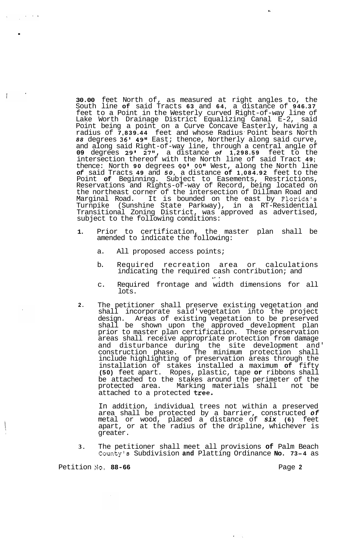**30.00** feet North of, as measured at right angles to, the South line **of** said Tracts **63** and **64,** a distance of **946.37**  feet to a Point in the Westerly curved Right-of-way line of Lake Worth Drainage District Equalizing Canal E-2, said Point being a point on a Curve Concave Easterly, having a radius of **7,839.44** feet and whose Radius ' Point bears North *88* degrees **36' 49"** East; thence, Northerly along said curve, and along said Right-of-way line, through a central angle of **09** degrees **29' 27",** a distance *of* **1,298.59** feet to the intersection thereof with the North line of said Tract **49;**  thence: North **90** degrees *00' 00''* West, along the North line *of* said Tracts **49** and *50,* a distance **of 1,084.92** feet to the Point **of** Beginning. Subject to Easements, Restrictions, Reservations and Rights-of-way of Record, being located on the northeast corner of the intersection of Dillman Road and Marginal Road. It is bounded on the east by Florida's Turnpike (Sunshine State Parkway), in a RT-Residential Transitional Zoning District, was approved as advertised, subject to the following conditions:

x,

- **1.**  Prior to certification, the master plan shall be amended to indicate the following:
	- a. All proposed access points;
	- b. Required recreation area or calculations indicating the required cash contribution; and .. .
	- c. Required frontage and width dimensions for all lots.
- **2.**  The petitioner shall preserve existing vegetation and shall incorporate said' vegetation into the project design. Areas of existing vegetation to be preserved shall be shown upon the approved development plan prior to master plan certification. These preservation areas shall receive appropriate protection from damage and disturbance during the site development and'<br>construction phase. The minimum protection shall The minimum protection shall include highlighting of preservation areas through the installation of stakes installed a maximum **of** fifty **(50)** feet apart. Ropes, plastic, tape **or** ribbons shall be attached to the stakes around the perimeter of the protected area. Marking materials shall not be attached to a protected tree.

In addition, individual trees not within a preserved area shall be protected by a barrier, constructed *of*  metal or wood, placed a distance of *six* **(6)** feet apart, or at the radius of the dripline, whichever is greater.

**3.**  The petitioner shall meet all provisions **of** Palm Beach County's Subdivision **and** Platting Ordinance **No. 73-4** as

Petition No. 88-66 **Page 2 Page 2** 

.

 $\overline{1}$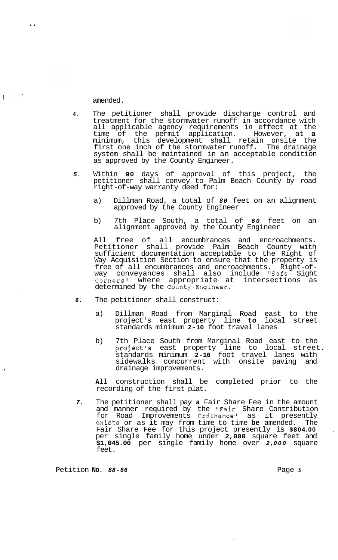amended.

..

 $\blacksquare$ 

 $\overline{1}$ 

- **4.**  The petitioner shall provide discharge control and treatment for the stormwater runoff in accordance with all applicable agency requirements in effect at the time of the permit application. However, at **a**  minimum, this development shall retain onsite the first one inch of the stormwater runoff. The drainage system shall be maintained in an acceptable condition as approved by the County Engineer.
- *5.*  Within **90** days of approval of this project, the petitioner shall convey to Palm Beach County by road right-of-way warranty deed for:
	- a) Dillman Road, a total of *80* feet on an alignment approved by the County Engineer
	- b) 7th Place South, a total of *60* feet on an alignment approved by the County Engineer

All free of all encumbrances and encroachments. Petitioner shall provide Palm Beach County with sufficient documentation acceptable to the Right of Way Acquisition Section to ensure that the property is free of all encumbrances and encroachments. Right-of- way conveyances shall also include "Safe Sight Corners" where appropriate- at intersections as determined by the County.Engineer.

- *6.*  The petitioner shall construct:
	- a) Dillman Road from Marginal Road east to the project's east property line **to** local street standards minimum **2-10** foot travel lanes
	- b) 7th Place South from Marginal Road east to the project's east property line to local street. standards minimum **2-10** foot travel lanes with sidewalks concurrent with onsite paving and drainage improvements.

**All** construction shall be completed prior to the recording of the first plat.

*7.*  The petitioner shall pay **a** Fair Share Fee in the amount and manner required by the "Fair Share Contribution for Road Improvements Ordinance'' as it presently exists or as **it** may from time to time **be** amended. The Fair Share Fee for this project presently is **\$804.00** . per single family home under **2,000** square feet and **\$1,045.00** per single family home over *2,000* square feet.

Petition **No.** 88-66 **Page 3 Page 3**